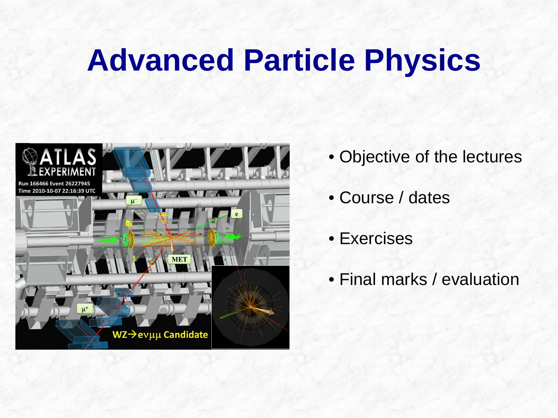# **Advanced Particle Physics**



- Objective of the lectures
- Course / dates
- Exercises
- Final marks / evaluation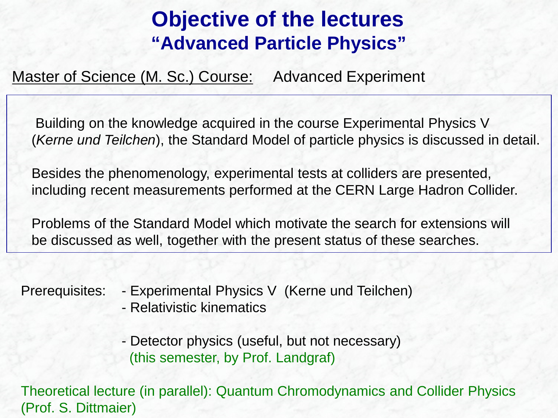## **Objective of the lectures "Advanced Particle Physics"**

Master of Science (M. Sc.) Course: Advanced Experiment

Building on the knowledge acquired in the course Experimental Physics V (*Kerne und Teilchen*), the Standard Model of particle physics is discussed in detail.

Besides the phenomenology, experimental tests at colliders are presented, including recent measurements performed at the CERN Large Hadron Collider.

Problems of the Standard Model which motivate the search for extensions will be discussed as well, together with the present status of these searches.

Prerequisites: - Experimental Physics V (Kerne und Teilchen)

- Relativistic kinematics

- Detector physics (useful, but not necessary) (this semester, by Prof. Landgraf)

Theoretical lecture (in parallel): Quantum Chromodynamics and Collider Physics (Prof. S. Dittmaier)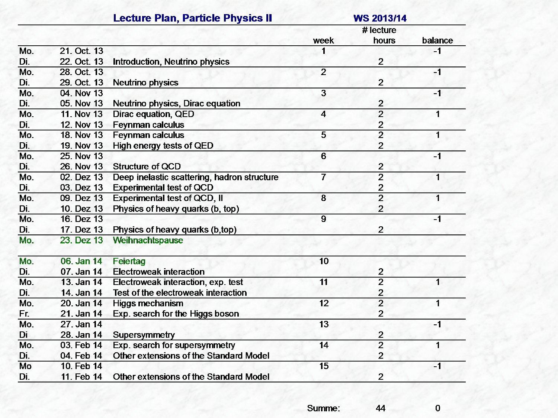|        |                   | <b>Lecture Plan, Particle Physics II</b>      | <b>WS 2013/14</b><br># lecture |                |         |
|--------|-------------------|-----------------------------------------------|--------------------------------|----------------|---------|
|        |                   |                                               |                                |                |         |
|        |                   |                                               | week                           | hours          | balance |
| Mo.    | 21. Oct. 13       |                                               |                                |                | $-1$    |
| Di.    | 22. Oct. 13       | Introduction, Neutrino physics                |                                | $\overline{2}$ |         |
| Mo.    | 28. Oct. 13       |                                               | $\overline{2}$                 |                | $-1$    |
| Di.    | 29. Oct. 13       | <b>Neutrino physics</b>                       |                                | $\overline{2}$ |         |
| Mo.    | 04. Nov 13        |                                               | $\overline{3}$                 |                | $-1$    |
| Di.    | 05. Nov 13        | Neutrino physics, Dirac equation              |                                | $\overline{2}$ |         |
| Mo.    | <b>11. Nov 13</b> | Dirac equation, QED                           | $\overline{4}$                 | $\overline{2}$ | 1       |
| Di.    | 12. Nov 13        | Feynman calculus                              |                                | $\overline{c}$ |         |
| Mo.    | <b>18. Nov 13</b> | <b>Feynman calculus</b>                       | $\overline{5}$                 | $\overline{2}$ | 1       |
| Di.    | 19. Nov 13        | High energy tests of QED                      |                                | $\overline{2}$ |         |
| Mo.    | 25. Nov 13        |                                               | $\overline{6}$                 |                | $-1$    |
| Di.    | 26. Nov 13        | <b>Structure of QCD</b>                       |                                | $\overline{2}$ |         |
| Mo.    | 02. Dez 13        | Deep inelastic scattering, hadron structure   | 7                              | $\overline{2}$ | 1       |
| Di.    | 03. Dez 13        | <b>Experimental test of QCD</b>               |                                |                |         |
| Mo.    | 09. Dez 13        | Experimental test of QCD, II                  | $\overline{8}$                 | $\frac{2}{2}$  | 1       |
| Di.    | 10. Dez 13        | Physics of heavy quarks (b, top)              |                                | $\overline{2}$ |         |
| Mo.    | 16. Dez 13        |                                               | $\overline{9}$                 |                | $-1$    |
| Di.    | 17. Dez 13        | Physics of heavy quarks (b,top)               |                                | $\overline{2}$ |         |
| $Mo$ . | 23. Dez 13        | Weihnachtspause                               |                                |                |         |
| Mo.    | 06. Jan 14        | Feiertag                                      | 10                             |                |         |
| Di.    | 07. Jan 14        | <b>Electroweak interaction</b>                |                                | $\overline{c}$ |         |
| Mo.    | 13. Jan 14        | Electroweak interaction, exp. test            | $\overline{11}$                | $\overline{2}$ | 1       |
| Di.    | 14. Jan 14        | Test of the electroweak interaction           |                                | $\overline{2}$ |         |
| Mo.    | 20. Jan 14        | <b>Higgs mechanism</b>                        | $\overline{12}$                | $\overline{2}$ | 1       |
| Fr.    | 21. Jan 14        | Exp. search for the Higgs boson               |                                | $\overline{2}$ |         |
| Mo.    | 27. Jan 14        |                                               | $\overline{13}$                |                | $-1$    |
| Di     | 28. Jan 14        | Supersymmetry                                 |                                | $\overline{c}$ |         |
| Mo.    | 03. Feb 14        | Exp. search for supersymmetry                 | $\overline{14}$                | $\overline{2}$ | 1       |
| Di.    | 04. Feb 14        | <b>Other extensions of the Standard Model</b> |                                | $\overline{2}$ |         |
| Mo     | 10. Feb 14        |                                               | 15                             |                | $-1$    |
| Di.    | 11 Feb 14         | <b>Other extensions of the Standard Model</b> |                                | $\overline{2}$ |         |

Summe: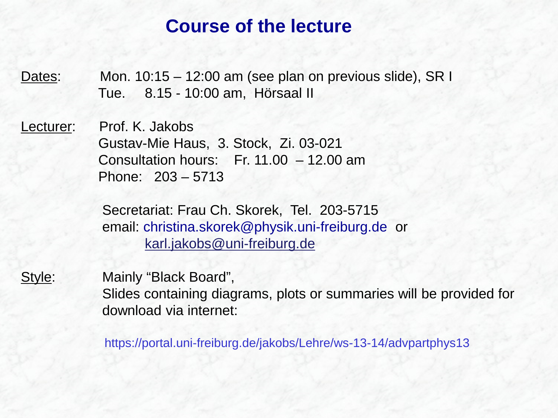#### **Course of the lecture**

Dates: Mon. 10:15 – 12:00 am (see plan on previous slide), SR I Tue. 8.15 - 10:00 am, Hörsaal II

Lecturer: Prof. K. Jakobs Gustav-Mie Haus, 3. Stock, Zi. 03-021 Consultation hours: Fr. 11.00 – 12.00 am Phone: 203 – 5713

> Secretariat: Frau Ch. Skorek, Tel. 203-5715 email: christina.skorek@physik.uni-freiburg.de or [karl.jakobs@uni-freiburg.de](mailto:karl.jakobs@uni-freiburg.de)

Style: Mainly "Black Board", Slides containing diagrams, plots or summaries will be provided for download via internet:

https://portal.uni-freiburg.de/jakobs/Lehre/ws-13-14/advpartphys13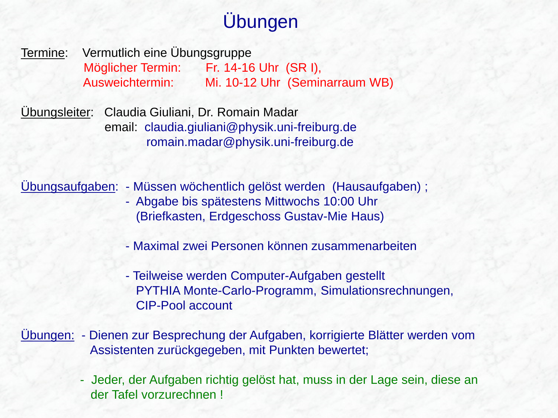# Übungen

Termine: Vermutlich eine Übungsgruppe Möglicher Termin: Fr. 14-16 Uhr (SR I), Ausweichtermin: Mi. 10-12 Uhr (Seminarraum WB)

Übungsleiter: Claudia Giuliani, Dr. Romain Madar email: claudia.giuliani@physik.uni-freiburg.de romain.madar@physik.uni-freiburg.de

Übungsaufgaben: - Müssen wöchentlich gelöst werden (Hausaufgaben) ; - Abgabe bis spätestens Mittwochs 10:00 Uhr

- (Briefkasten, Erdgeschoss Gustav-Mie Haus)
- Maximal zwei Personen können zusammenarbeiten
- Teilweise werden Computer-Aufgaben gestellt PYTHIA Monte-Carlo-Programm, Simulationsrechnungen, CIP-Pool account
- Übungen: Dienen zur Besprechung der Aufgaben, korrigierte Blätter werden vom Assistenten zurückgegeben, mit Punkten bewertet;
	- Jeder, der Aufgaben richtig gelöst hat, muss in der Lage sein, diese an der Tafel vorzurechnen !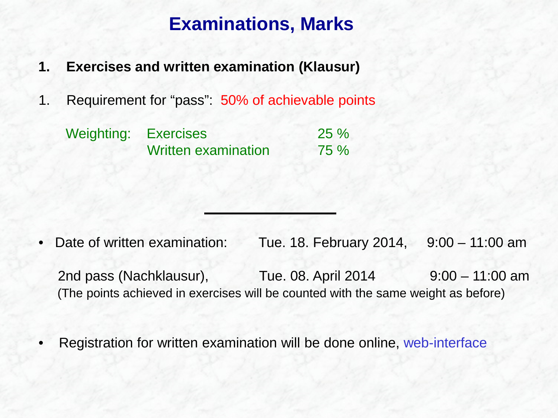### **Examinations, Marks**

- **1. Exercises and written examination (Klausur)**
- 1. Requirement for "pass": 50% of achievable points

| Weighting: Exercises |                            | 25%  |
|----------------------|----------------------------|------|
|                      | <b>Written examination</b> | 75 % |

- Date of written examination: Tue. 18. February 2014, 9:00 11:00 am 2nd pass (Nachklausur), Tue. 08. April 2014 9:00 – 11:00 am (The points achieved in exercises will be counted with the same weight as before)
- Registration for written examination will be done online, web-interface